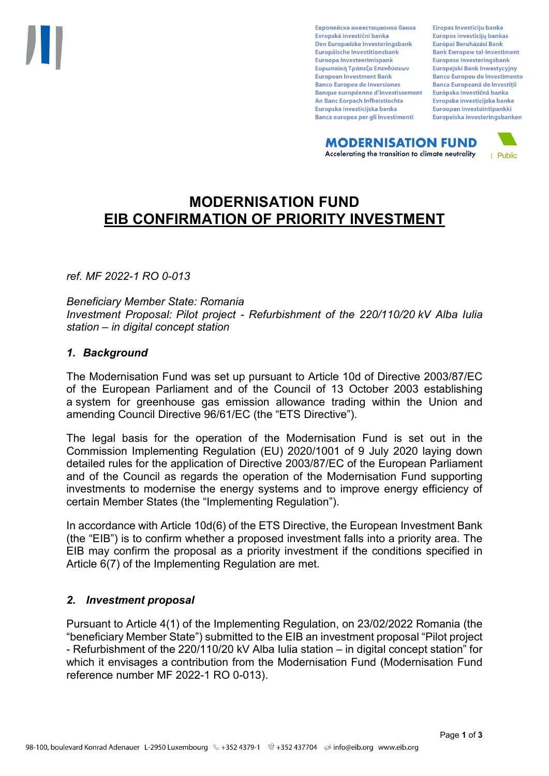Европейска инвестиционна банка Evropská investiční banka Den Europæiske Investeringsbank Europäische Investitionsbank Euroopa Investeerimispank Ευρωπαϊκή Τράπεζα Επενδύσεων **European Investment Bank Banco Europeo de Inversiones Banque européenne d'investissement** An Banc Eorpach Infheistíochta Europska investicijska banka Banca europea per gli investimenti

Eiropas Investīciju banka Europos investicijų bankas Európai Beruházási Bank **Bank Ewropew tal-Investiment** Europese Investeringsbank **Europeiski Bank Inwestycviny Banco Europeu de Investimento Banca Europeană de Investiții** Európska investičná banka Evropska investicijska banka Euroopan investointipankki Europeiska investeringsbanken

**MODERNISATION FUND** Accelerating the transition to climate neutrality



# **MODERNISATION FUND EIB CONFIRMATION OF PRIORITY INVESTMENT**

*ref. MF 2022-1 RO 0-013*

*Beneficiary Member State: Romania Investment Proposal: Pilot project - Refurbishment of the 220/110/20 kV Alba Iulia station – in digital concept station*

#### *1. Background*

The Modernisation Fund was set up pursuant to Article 10d of Directive 2003/87/EC of the European Parliament and of the Council of 13 October 2003 establishing a system for greenhouse gas emission allowance trading within the Union and amending Council Directive 96/61/EC (the "ETS Directive").

The legal basis for the operation of the Modernisation Fund is set out in the Commission Implementing Regulation (EU) 2020/1001 of 9 July 2020 laying down detailed rules for the application of Directive 2003/87/EC of the European Parliament and of the Council as regards the operation of the Modernisation Fund supporting investments to modernise the energy systems and to improve energy efficiency of certain Member States (the "Implementing Regulation").

In accordance with Article 10d(6) of the ETS Directive, the European Investment Bank (the "EIB") is to confirm whether a proposed investment falls into a priority area. The EIB may confirm the proposal as a priority investment if the conditions specified in Article 6(7) of the Implementing Regulation are met.

### *2. Investment proposal*

Pursuant to Article 4(1) of the Implementing Regulation, on 23/02/2022 Romania (the "beneficiary Member State") submitted to the EIB an investment proposal "Pilot project - Refurbishment of the 220/110/20 kV Alba Iulia station – in digital concept station" for which it envisages a contribution from the Modernisation Fund (Modernisation Fund reference number MF 2022-1 RO 0-013).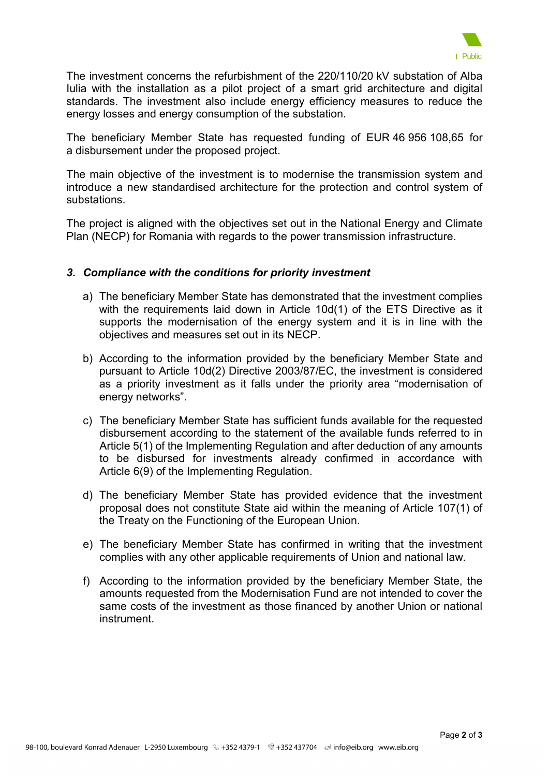

The investment concerns the refurbishment of the 220/110/20 kV substation of Alba Iulia with the installation as a pilot project of a smart grid architecture and digital standards. The investment also include energy efficiency measures to reduce the energy losses and energy consumption of the substation.

The beneficiary Member State has requested funding of EUR 46 956 108,65 for a disbursement under the proposed project.

The main objective of the investment is to modernise the transmission system and introduce a new standardised architecture for the protection and control system of substations.

The project is aligned with the objectives set out in the National Energy and Climate Plan (NECP) for Romania with regards to the power transmission infrastructure.

### *3. Compliance with the conditions for priority investment*

- a) The beneficiary Member State has demonstrated that the investment complies with the requirements laid down in Article 10d(1) of the ETS Directive as it supports the modernisation of the energy system and it is in line with the objectives and measures set out in its NECP.
- b) According to the information provided by the beneficiary Member State and pursuant to Article 10d(2) Directive 2003/87/EC, the investment is considered as a priority investment as it falls under the priority area "modernisation of energy networks".
- c) The beneficiary Member State has sufficient funds available for the requested disbursement according to the statement of the available funds referred to in Article 5(1) of the Implementing Regulation and after deduction of any amounts to be disbursed for investments already confirmed in accordance with Article 6(9) of the Implementing Regulation.
- d) The beneficiary Member State has provided evidence that the investment proposal does not constitute State aid within the meaning of Article 107(1) of the Treaty on the Functioning of the European Union.
- e) The beneficiary Member State has confirmed in writing that the investment complies with any other applicable requirements of Union and national law.
- f) According to the information provided by the beneficiary Member State, the amounts requested from the Modernisation Fund are not intended to cover the same costs of the investment as those financed by another Union or national instrument.